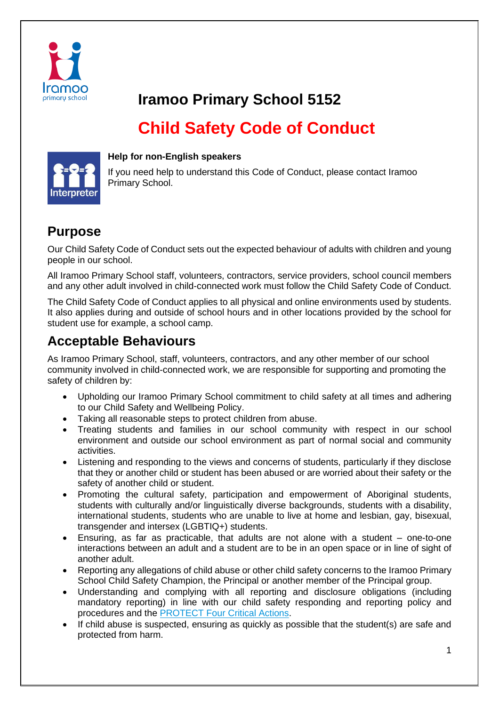

## **Iramoo Primary School 5152**

# **Child Safety Code of Conduct**



#### **Help for non-English speakers**

If you need help to understand this Code of Conduct, please contact Iramoo Primary School.

#### **Purpose**

Our Child Safety Code of Conduct sets out the expected behaviour of adults with children and young people in our school.

All Iramoo Primary School staff, volunteers, contractors, service providers, school council members and any other adult involved in child-connected work must follow the Child Safety Code of Conduct.

The Child Safety Code of Conduct applies to all physical and online environments used by students. It also applies during and outside of school hours and in other locations provided by the school for student use for example, a school camp.

#### **Acceptable Behaviours**

As Iramoo Primary School, staff, volunteers, contractors, and any other member of our school community involved in child-connected work, we are responsible for supporting and promoting the safety of children by:

- Upholding our Iramoo Primary School commitment to child safety at all times and adhering to our Child Safety and Wellbeing Policy.
- Taking all reasonable steps to protect children from abuse.
- Treating students and families in our school community with respect in our school environment and outside our school environment as part of normal social and community activities.
- Listening and responding to the views and concerns of students, particularly if they disclose that they or another child or student has been abused or are worried about their safety or the safety of another child or student.
- Promoting the cultural safety, participation and empowerment of Aboriginal students, students with culturally and/or linguistically diverse backgrounds, students with a disability, international students, students who are unable to live at home and lesbian, gay, bisexual, transgender and intersex (LGBTIQ+) students.
- Ensuring, as far as practicable, that adults are not alone with a student one-to-one interactions between an adult and a student are to be in an open space or in line of sight of another adult.
- Reporting any allegations of child abuse or other child safety concerns to the Iramoo Primary School Child Safety Champion, the Principal or another member of the Principal group.
- Understanding and complying with all reporting and disclosure obligations (including mandatory reporting) in line with our child safety responding and reporting policy and procedures and the [PROTECT Four Critical Actions.](https://www.education.vic.gov.au/Documents/about/programs/health/protect/FourCriticalActions_ChildAbuse.pdf)
- If child abuse is suspected, ensuring as quickly as possible that the student(s) are safe and protected from harm.